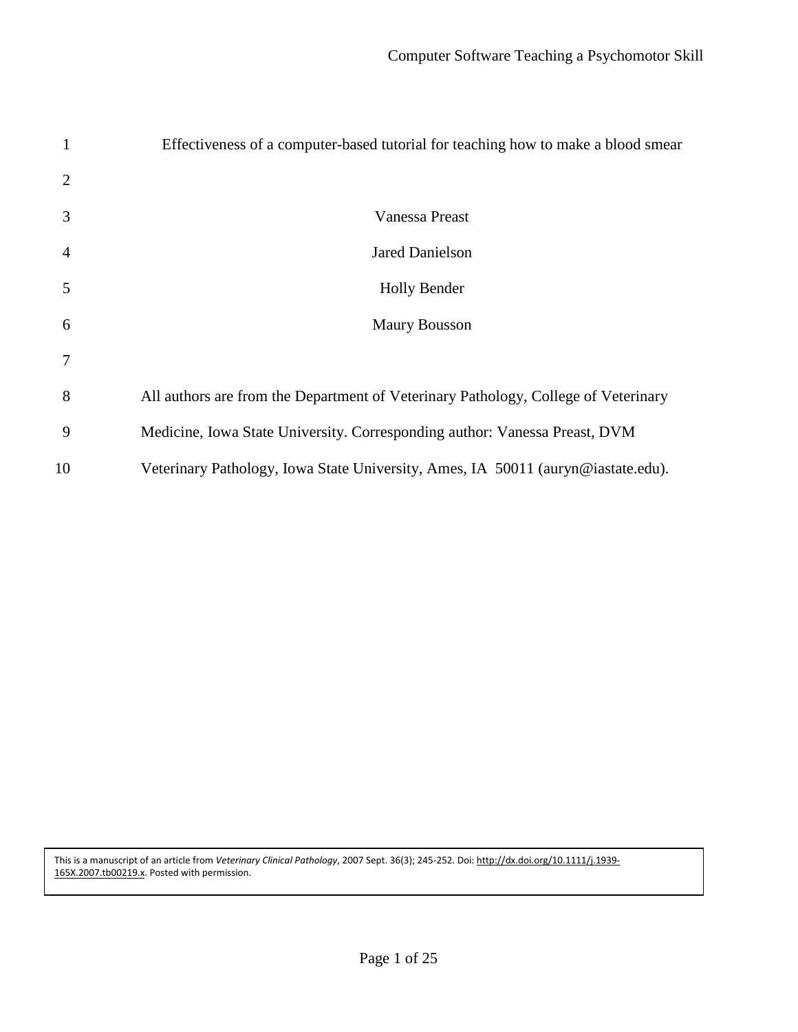| 1              | Effectiveness of a computer-based tutorial for teaching how to make a blood smear  |
|----------------|------------------------------------------------------------------------------------|
| 2              |                                                                                    |
| 3              | Vanessa Preast                                                                     |
| $\overline{4}$ | <b>Jared Danielson</b>                                                             |
| 5              | <b>Holly Bender</b>                                                                |
| 6              | <b>Maury Bousson</b>                                                               |
|                |                                                                                    |
| 8              | All authors are from the Department of Veterinary Pathology, College of Veterinary |
| 9              | Medicine, Iowa State University. Corresponding author: Vanessa Preast, DVM         |
| 10             | Veterinary Pathology, Iowa State University, Ames, IA 50011 (auryn@iastate.edu).   |

This is a manuscript of an article from *Veterinary Clinical Pathology*, 2007 Sept. 36(3); 245-252. Doi: [http://dx.doi.org/10.1111/j.1939-](http://dx.doi.org/10.1111/j.1939-165X.2007.tb00219.x) [165X.2007.tb00219.x.](http://dx.doi.org/10.1111/j.1939-165X.2007.tb00219.x) Posted with permission.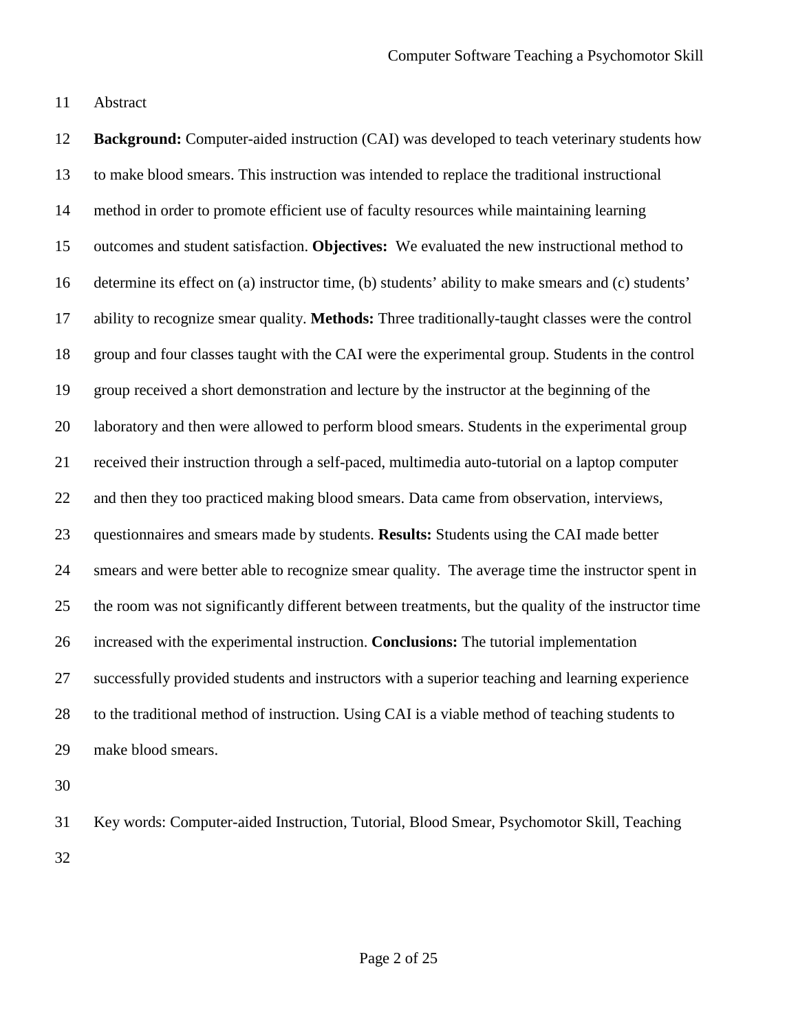Abstract

 **Background:** Computer-aided instruction (CAI) was developed to teach veterinary students how to make blood smears. This instruction was intended to replace the traditional instructional method in order to promote efficient use of faculty resources while maintaining learning outcomes and student satisfaction. **Objectives:** We evaluated the new instructional method to determine its effect on (a) instructor time, (b) students' ability to make smears and (c) students' ability to recognize smear quality. **Methods:** Three traditionally-taught classes were the control group and four classes taught with the CAI were the experimental group. Students in the control group received a short demonstration and lecture by the instructor at the beginning of the laboratory and then were allowed to perform blood smears. Students in the experimental group received their instruction through a self-paced, multimedia auto-tutorial on a laptop computer and then they too practiced making blood smears. Data came from observation, interviews, questionnaires and smears made by students. **Results:** Students using the CAI made better smears and were better able to recognize smear quality. The average time the instructor spent in the room was not significantly different between treatments, but the quality of the instructor time increased with the experimental instruction. **Conclusions:** The tutorial implementation successfully provided students and instructors with a superior teaching and learning experience to the traditional method of instruction. Using CAI is a viable method of teaching students to make blood smears. Key words: Computer-aided Instruction, Tutorial, Blood Smear, Psychomotor Skill, Teaching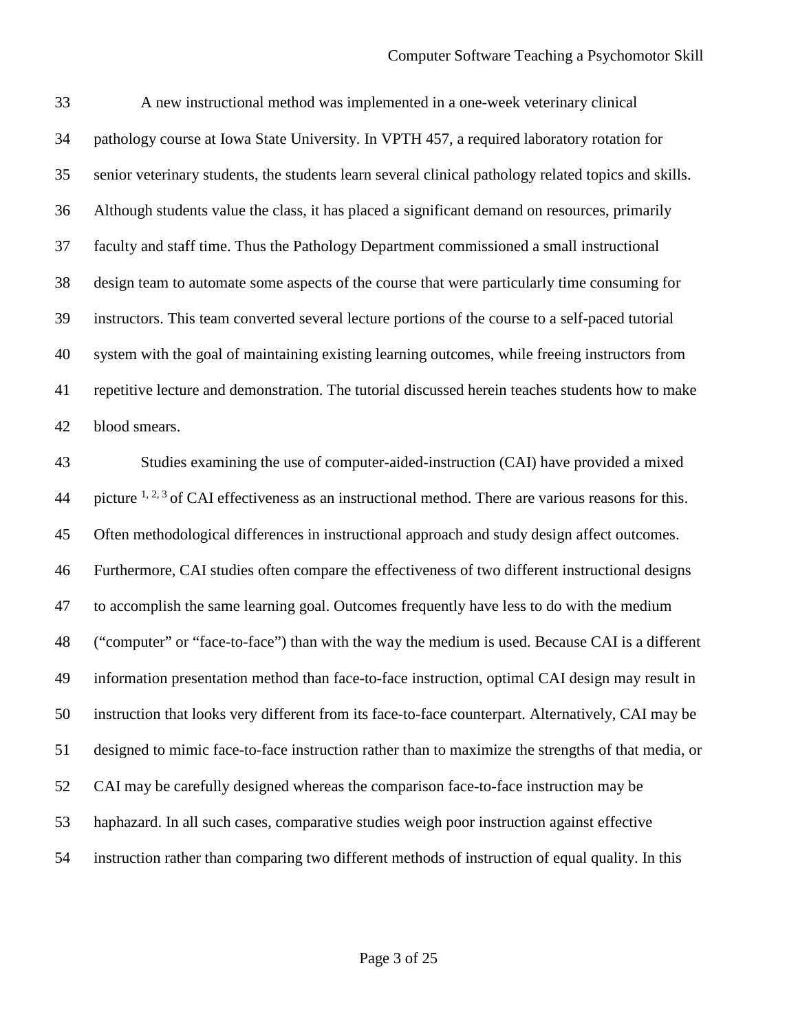A new instructional method was implemented in a one-week veterinary clinical pathology course at Iowa State University. In VPTH 457, a required laboratory rotation for senior veterinary students, the students learn several clinical pathology related topics and skills. Although students value the class, it has placed a significant demand on resources, primarily faculty and staff time. Thus the Pathology Department commissioned a small instructional design team to automate some aspects of the course that were particularly time consuming for instructors. This team converted several lecture portions of the course to a self-paced tutorial system with the goal of maintaining existing learning outcomes, while freeing instructors from repetitive lecture and demonstration. The tutorial discussed herein teaches students how to make blood smears. Studies examining the use of computer-aided-instruction (CAI) have provided a mixed 44 picture  $1, 2, 3$  of CAI effectiveness as an instructional method. There are various reasons for this. Often methodological differences in instructional approach and study design affect outcomes. Furthermore, CAI studies often compare the effectiveness of two different instructional designs to accomplish the same learning goal. Outcomes frequently have less to do with the medium ("computer" or "face-to-face") than with the way the medium is used. Because CAI is a different information presentation method than face-to-face instruction, optimal CAI design may result in instruction that looks very different from its face-to-face counterpart. Alternatively, CAI may be designed to mimic face-to-face instruction rather than to maximize the strengths of that media, or CAI may be carefully designed whereas the comparison face-to-face instruction may be

haphazard. In all such cases, comparative studies weigh poor instruction against effective

instruction rather than comparing two different methods of instruction of equal quality. In this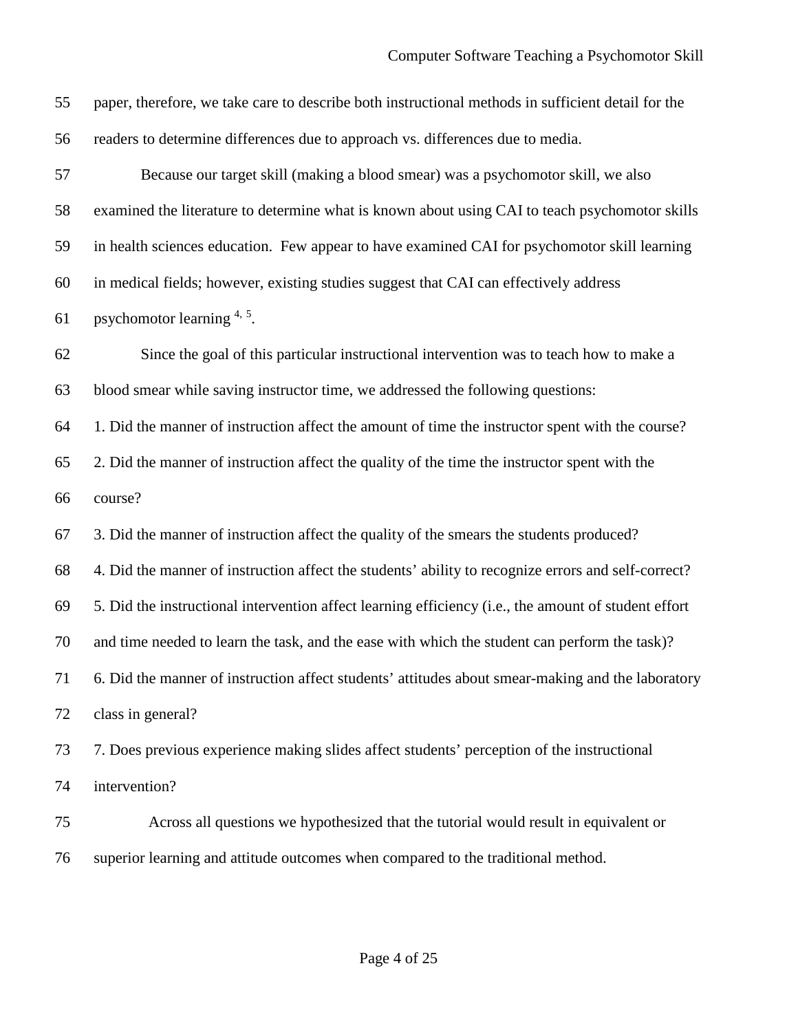| 55 | paper, therefore, we take care to describe both instructional methods in sufficient detail for the   |
|----|------------------------------------------------------------------------------------------------------|
| 56 | readers to determine differences due to approach vs. differences due to media.                       |
| 57 | Because our target skill (making a blood smear) was a psychomotor skill, we also                     |
| 58 | examined the literature to determine what is known about using CAI to teach psychomotor skills       |
| 59 | in health sciences education. Few appear to have examined CAI for psychomotor skill learning         |
| 60 | in medical fields; however, existing studies suggest that CAI can effectively address                |
| 61 | psychomotor learning 4, 5.                                                                           |
| 62 | Since the goal of this particular instructional intervention was to teach how to make a              |
| 63 | blood smear while saving instructor time, we addressed the following questions:                      |
| 64 | 1. Did the manner of instruction affect the amount of time the instructor spent with the course?     |
| 65 | 2. Did the manner of instruction affect the quality of the time the instructor spent with the        |
| 66 | course?                                                                                              |
| 67 | 3. Did the manner of instruction affect the quality of the smears the students produced?             |
| 68 | 4. Did the manner of instruction affect the students' ability to recognize errors and self-correct?  |
| 69 | 5. Did the instructional intervention affect learning efficiency (i.e., the amount of student effort |
| 70 | and time needed to learn the task, and the ease with which the student can perform the task)?        |
| 71 | 6. Did the manner of instruction affect students' attitudes about smear-making and the laboratory    |
| 72 | class in general?                                                                                    |
| 73 | 7. Does previous experience making slides affect students' perception of the instructional           |
| 74 | intervention?                                                                                        |
| 75 | Across all questions we hypothesized that the tutorial would result in equivalent or                 |

superior learning and attitude outcomes when compared to the traditional method.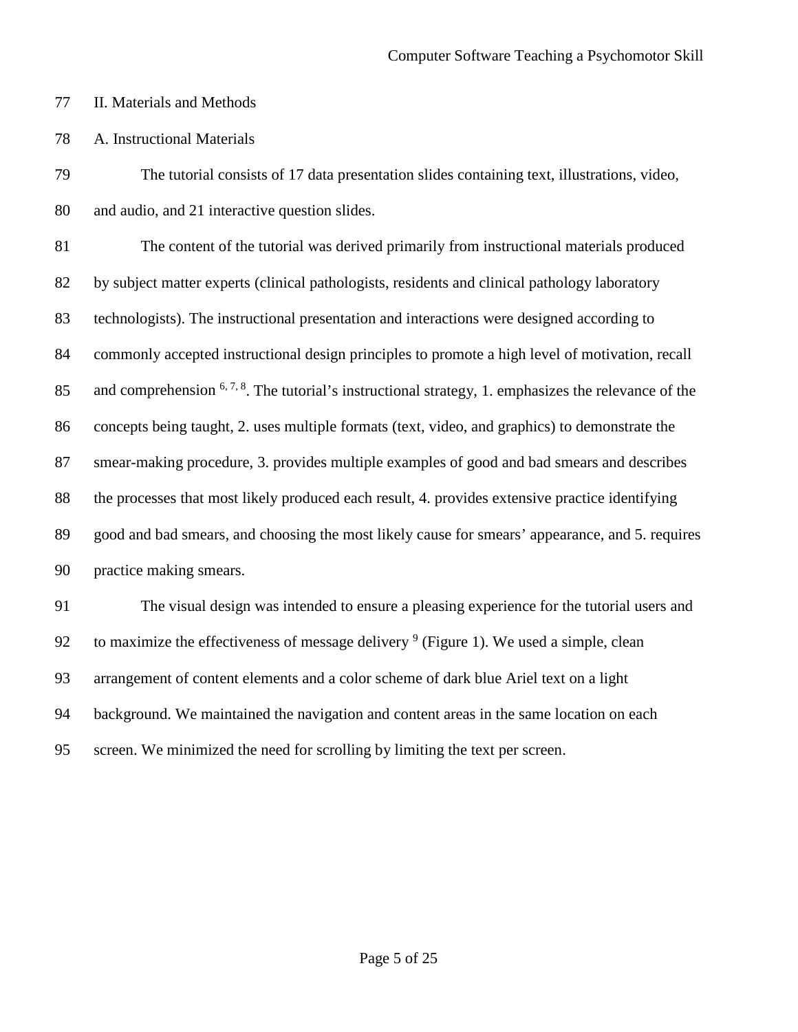- II. Materials and Methods
- A. Instructional Materials

 The tutorial consists of 17 data presentation slides containing text, illustrations, video, and audio, and 21 interactive question slides.

 The content of the tutorial was derived primarily from instructional materials produced by subject matter experts (clinical pathologists, residents and clinical pathology laboratory technologists). The instructional presentation and interactions were designed according to commonly accepted instructional design principles to promote a high level of motivation, recall 85 and comprehension  $6, 7, 8$ . The tutorial's instructional strategy, 1. emphasizes the relevance of the concepts being taught, 2. uses multiple formats (text, video, and graphics) to demonstrate the smear-making procedure, 3. provides multiple examples of good and bad smears and describes the processes that most likely produced each result, 4. provides extensive practice identifying good and bad smears, and choosing the most likely cause for smears' appearance, and 5. requires practice making smears.

 The visual design was intended to ensure a pleasing experience for the tutorial users and 92 to maximize the effectiveness of message delivery (Figure 1). We used a simple, clean arrangement of content elements and a color scheme of dark blue Ariel text on a light background. We maintained the navigation and content areas in the same location on each screen. We minimized the need for scrolling by limiting the text per screen.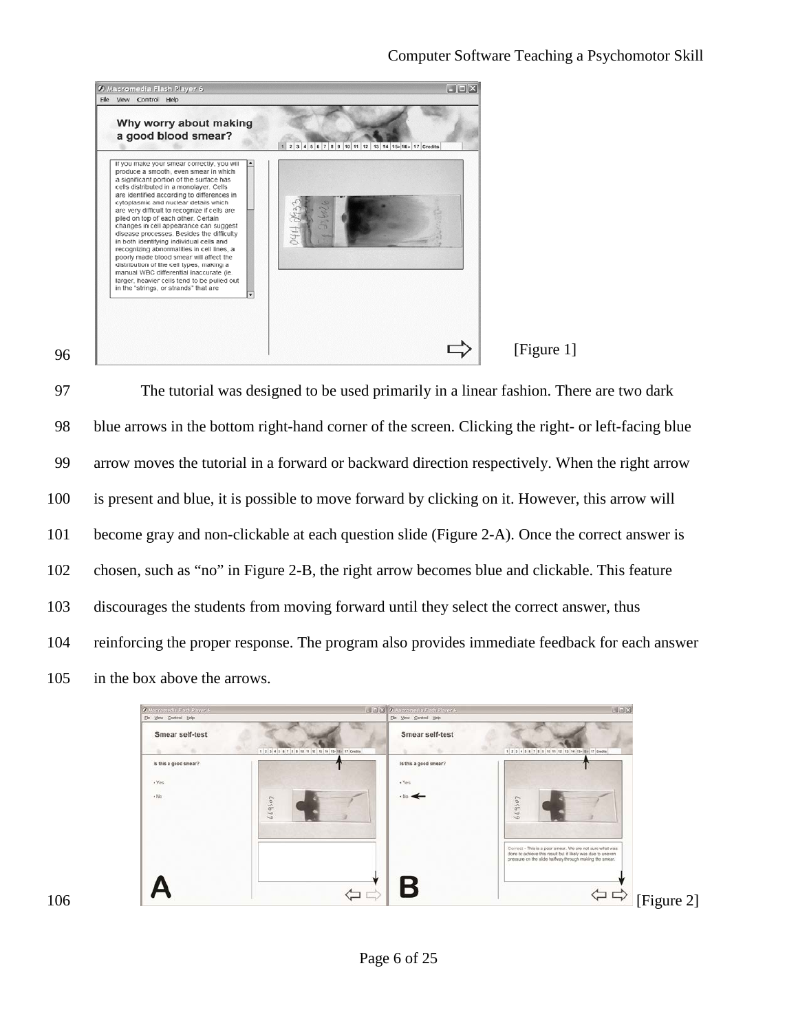

97 The tutorial was designed to be used primarily in a linear fashion. There are two dark 98 blue arrows in the bottom right-hand corner of the screen. Clicking the right- or left-facing blue 99 arrow moves the tutorial in a forward or backward direction respectively. When the right arrow 100 is present and blue, it is possible to move forward by clicking on it. However, this arrow will 101 become gray and non-clickable at each question slide (Figure 2-A). Once the correct answer is 102 chosen, such as "no" in Figure 2-B, the right arrow becomes blue and clickable. This feature 103 discourages the students from moving forward until they select the correct answer, thus 104 reinforcing the proper response. The program also provides immediate feedback for each answer 105 in the box above the arrows.

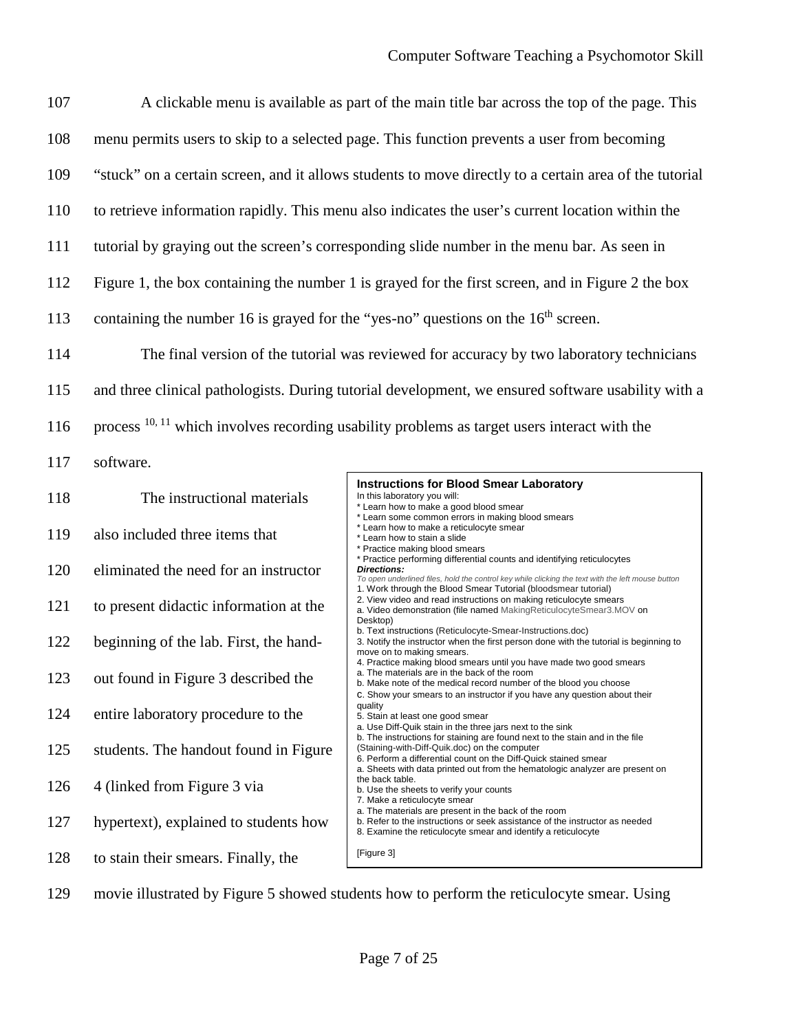| 107 |                                                                                     | A clickable menu is available as part of the main title bar across the top of the page. This                                                                                                                                                                                     |
|-----|-------------------------------------------------------------------------------------|----------------------------------------------------------------------------------------------------------------------------------------------------------------------------------------------------------------------------------------------------------------------------------|
| 108 |                                                                                     | menu permits users to skip to a selected page. This function prevents a user from becoming                                                                                                                                                                                       |
| 109 |                                                                                     | "stuck" on a certain screen, and it allows students to move directly to a certain area of the tutorial                                                                                                                                                                           |
| 110 |                                                                                     | to retrieve information rapidly. This menu also indicates the user's current location within the                                                                                                                                                                                 |
| 111 |                                                                                     | tutorial by graying out the screen's corresponding slide number in the menu bar. As seen in                                                                                                                                                                                      |
| 112 |                                                                                     | Figure 1, the box containing the number 1 is grayed for the first screen, and in Figure 2 the box                                                                                                                                                                                |
| 113 | containing the number 16 is grayed for the "yes-no" questions on the $16th$ screen. |                                                                                                                                                                                                                                                                                  |
| 114 |                                                                                     | The final version of the tutorial was reviewed for accuracy by two laboratory technicians                                                                                                                                                                                        |
| 115 |                                                                                     | and three clinical pathologists. During tutorial development, we ensured software usability with a                                                                                                                                                                               |
| 116 |                                                                                     | process <sup>10, 11</sup> which involves recording usability problems as target users interact with the                                                                                                                                                                          |
| 117 | software.                                                                           |                                                                                                                                                                                                                                                                                  |
| 118 | The instructional materials                                                         | <b>Instructions for Blood Smear Laboratory</b><br>In this laboratory you will:<br>* Learn how to make a good blood smear                                                                                                                                                         |
| 119 | also included three items that                                                      | * Learn some common errors in making blood smears<br>* Learn how to make a reticulocyte smear<br>* Learn how to stain a slide<br>* Practice making blood smears                                                                                                                  |
| 120 | eliminated the need for an instructor                                               | * Practice performing differential counts and identifying reticulocytes<br><b>Directions:</b><br>To open underlined files, hold the control key while clicking the text with the left mouse button                                                                               |
| 121 | to present didactic information at the                                              | 1. Work through the Blood Smear Tutorial (bloodsmear tutorial)<br>2. View video and read instructions on making reticulocyte smears<br>a. Video demonstration (file named Making Reticulocyte Smear3.MOV on<br>Desktop)                                                          |
| 122 | beginning of the lab. First, the hand-                                              | b. Text instructions (Reticulocyte-Smear-Instructions.doc)<br>3. Notify the instructor when the first person done with the tutorial is beginning to<br>move on to making smears.                                                                                                 |
| 123 | out found in Figure 3 described the                                                 | 4. Practice making blood smears until you have made two good smears<br>a. The materials are in the back of the room<br>b. Make note of the medical record number of the blood you choose<br>C. Show your smears to an instructor if you have any question about their            |
| 124 | entire laboratory procedure to the                                                  | quality<br>5. Stain at least one good smear<br>a. Use Diff-Quik stain in the three jars next to the sink                                                                                                                                                                         |
| 125 | students. The handout found in Figure                                               | b. The instructions for staining are found next to the stain and in the file<br>(Staining-with-Diff-Quik.doc) on the computer<br>6. Perform a differential count on the Diff-Quick stained smear<br>a. Sheets with data printed out from the hematologic analyzer are present on |
| 126 | 4 (linked from Figure 3 via                                                         | the back table.<br>b. Use the sheets to verify your counts<br>7. Make a reticulocyte smear                                                                                                                                                                                       |
| 127 | hypertext), explained to students how                                               | a. The materials are present in the back of the room<br>b. Refer to the instructions or seek assistance of the instructor as needed<br>8. Examine the reticulocyte smear and identify a reticulocyte                                                                             |
| 128 | to stain their smears. Finally, the                                                 | [Figure 3]                                                                                                                                                                                                                                                                       |

129 movie illustrated by Figure 5 showed students how to perform the reticulocyte smear. Using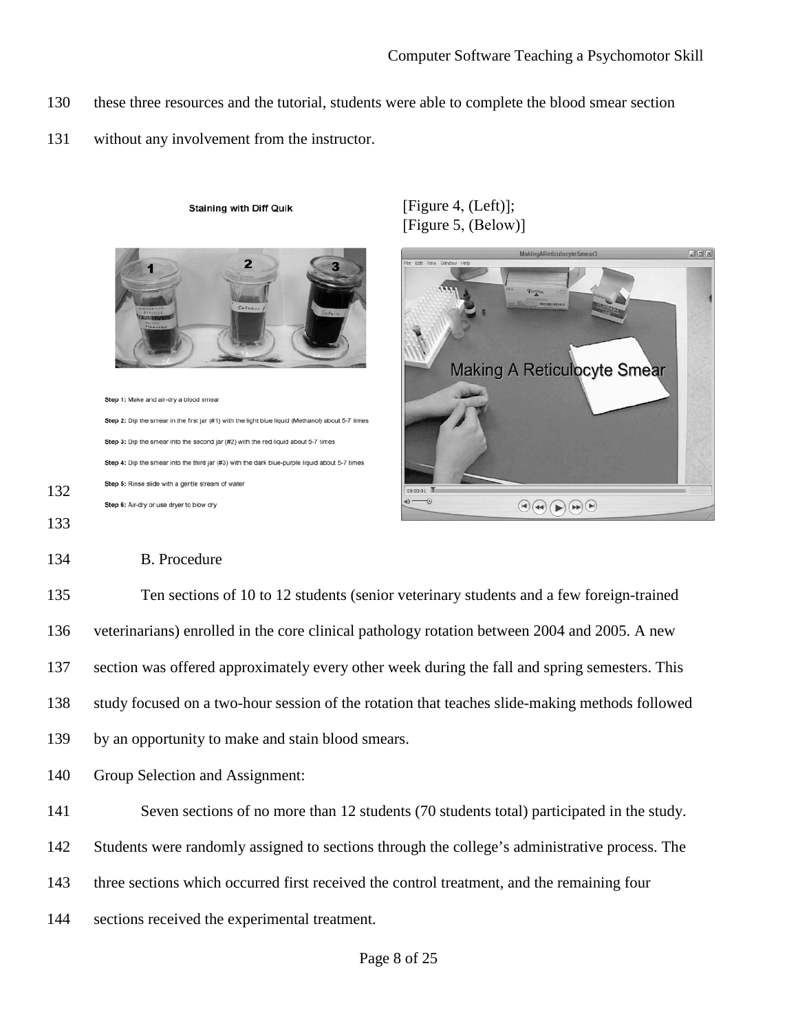- 130 these three resources and the tutorial, students were able to complete the blood smear section
- 131 without any involvement from the instructor.



**Staining with Diff Quik** 

Step 3: Dip the smear into the second jar (#2) with the red liquid about 5-7 times Step 4: Dip the smear into the third jar (#3) with the dark blue-purple liquid about 5-7 times Step 5: Rinse slide with a gentle stream of water Step 6: Air-dry or use dryer to blow dry

[Figure 4, (Left)]; [Figure 5, (Below)]



133

132

## 134 B. Procedure

135 Ten sections of 10 to 12 students (senior veterinary students and a few foreign-trained 136 veterinarians) enrolled in the core clinical pathology rotation between 2004 and 2005. A new 137 section was offered approximately every other week during the fall and spring semesters. This 138 study focused on a two-hour session of the rotation that teaches slide-making methods followed 139 by an opportunity to make and stain blood smears.

140 Group Selection and Assignment:

141 Seven sections of no more than 12 students (70 students total) participated in the study.

142 Students were randomly assigned to sections through the college's administrative process. The

143 three sections which occurred first received the control treatment, and the remaining four

144 sections received the experimental treatment.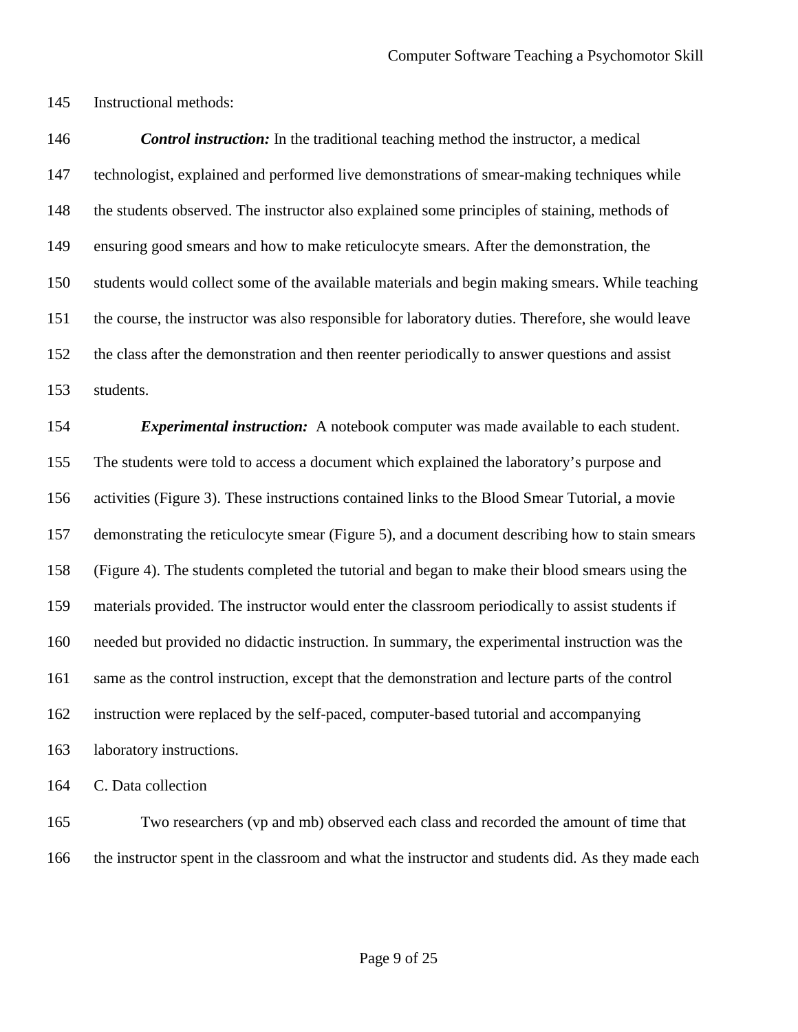Instructional methods:

 *Control instruction:* In the traditional teaching method the instructor, a medical technologist, explained and performed live demonstrations of smear-making techniques while the students observed. The instructor also explained some principles of staining, methods of ensuring good smears and how to make reticulocyte smears. After the demonstration, the students would collect some of the available materials and begin making smears. While teaching the course, the instructor was also responsible for laboratory duties. Therefore, she would leave the class after the demonstration and then reenter periodically to answer questions and assist students.

 *Experimental instruction:* A notebook computer was made available to each student. The students were told to access a document which explained the laboratory's purpose and activities (Figure 3). These instructions contained links to the Blood Smear Tutorial, a movie demonstrating the reticulocyte smear (Figure 5), and a document describing how to stain smears (Figure 4). The students completed the tutorial and began to make their blood smears using the materials provided. The instructor would enter the classroom periodically to assist students if needed but provided no didactic instruction. In summary, the experimental instruction was the same as the control instruction, except that the demonstration and lecture parts of the control instruction were replaced by the self-paced, computer-based tutorial and accompanying laboratory instructions.

C. Data collection

 Two researchers (vp and mb) observed each class and recorded the amount of time that the instructor spent in the classroom and what the instructor and students did. As they made each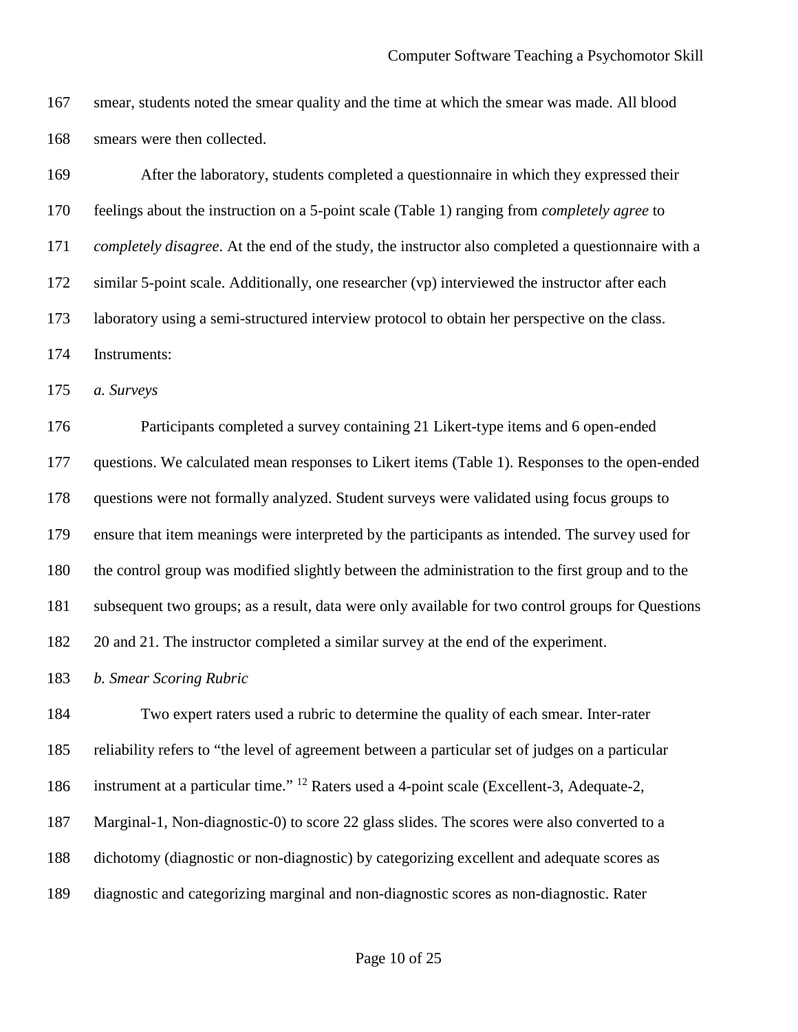smear, students noted the smear quality and the time at which the smear was made. All blood smears were then collected.

 After the laboratory, students completed a questionnaire in which they expressed their feelings about the instruction on a 5-point scale [\(Table 1\)](#page-20-0) ranging from *completely agree* to *completely disagree*. At the end of the study, the instructor also completed a questionnaire with a similar 5-point scale. Additionally, one researcher (vp) interviewed the instructor after each laboratory using a semi-structured interview protocol to obtain her perspective on the class. Instruments:

*a. Surveys*

 Participants completed a survey containing 21 Likert-type items and 6 open-ended questions. We calculated mean responses to Likert items [\(Table 1\)](#page-20-0). Responses to the open-ended questions were not formally analyzed. Student surveys were validated using focus groups to ensure that item meanings were interpreted by the participants as intended. The survey used for the control group was modified slightly between the administration to the first group and to the subsequent two groups; as a result, data were only available for two control groups for Questions 20 and 21. The instructor completed a similar survey at the end of the experiment.

*b. Smear Scoring Rubric*

 Two expert raters used a rubric to determine the quality of each smear. Inter-rater reliability refers to "the level of agreement between a particular set of judges on a particular 186 instrument at a particular time." <sup>12</sup> Raters used a 4-point scale (Excellent-3, Adequate-2, Marginal-1, Non-diagnostic-0) to score 22 glass slides. The scores were also converted to a dichotomy (diagnostic or non-diagnostic) by categorizing excellent and adequate scores as diagnostic and categorizing marginal and non-diagnostic scores as non-diagnostic. Rater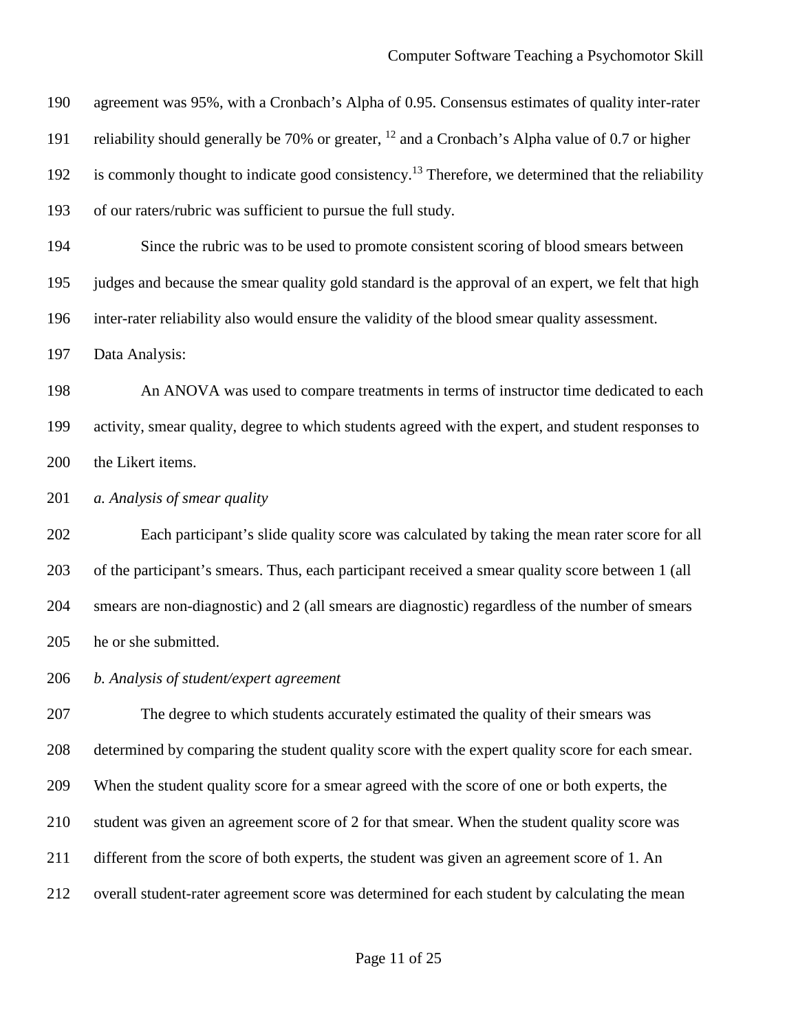agreement was 95%, with a Cronbach's Alpha of 0.95. Consensus estimates of quality inter-rater 191 reliability should generally be 70% or greater,  $^{12}$  and a Cronbach's Alpha value of 0.7 or higher 192 is commonly thought to indicate good consistency.<sup>13</sup> Therefore, we determined that the reliability of our raters/rubric was sufficient to pursue the full study.

 Since the rubric was to be used to promote consistent scoring of blood smears between judges and because the smear quality gold standard is the approval of an expert, we felt that high inter-rater reliability also would ensure the validity of the blood smear quality assessment.

Data Analysis:

 An ANOVA was used to compare treatments in terms of instructor time dedicated to each activity, smear quality, degree to which students agreed with the expert, and student responses to the Likert items.

*a. Analysis of smear quality*

 Each participant's slide quality score was calculated by taking the mean rater score for all of the participant's smears. Thus, each participant received a smear quality score between 1 (all smears are non-diagnostic) and 2 (all smears are diagnostic) regardless of the number of smears he or she submitted.

*b. Analysis of student/expert agreement*

 The degree to which students accurately estimated the quality of their smears was determined by comparing the student quality score with the expert quality score for each smear. When the student quality score for a smear agreed with the score of one or both experts, the student was given an agreement score of 2 for that smear. When the student quality score was different from the score of both experts, the student was given an agreement score of 1. An overall student-rater agreement score was determined for each student by calculating the mean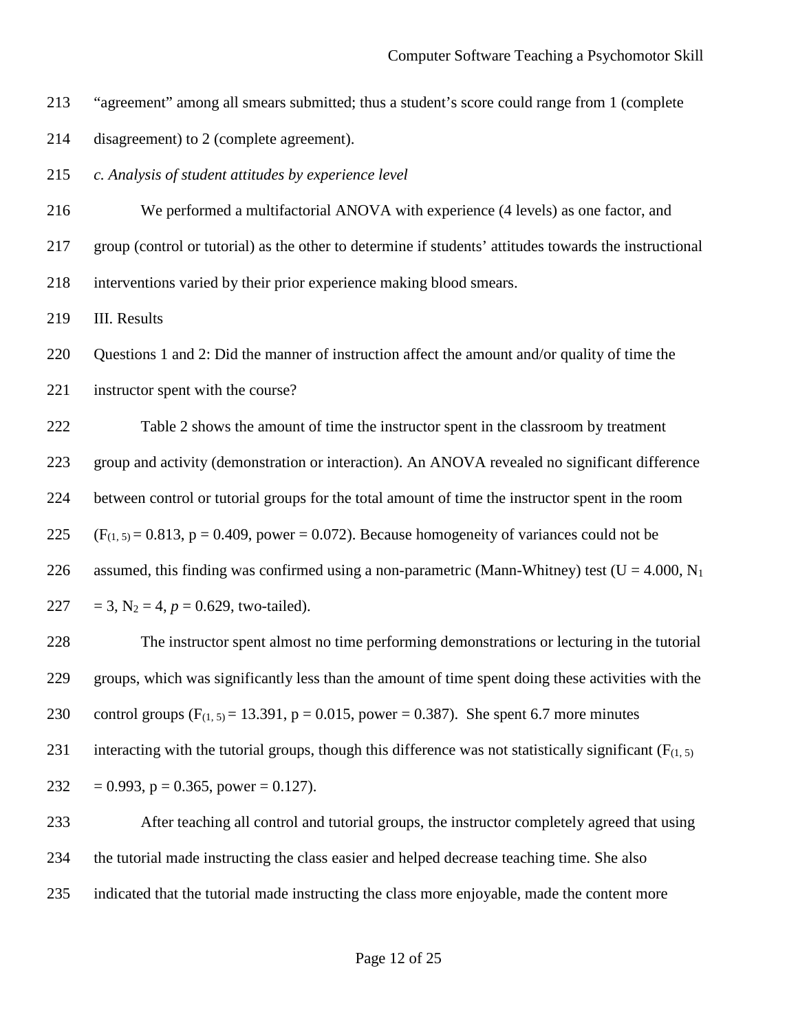- "agreement" among all smears submitted; thus a student's score could range from 1 (complete
- disagreement) to 2 (complete agreement).
- *c. Analysis of student attitudes by experience level*
- We performed a multifactorial ANOVA with experience (4 levels) as one factor, and
- group (control or tutorial) as the other to determine if students' attitudes towards the instructional
- interventions varied by their prior experience making blood smears.

III. Results

Questions 1 and 2: Did the manner of instruction affect the amount and/or quality of time the

instructor spent with the course?

 Table 2 shows the amount of time the instructor spent in the classroom by treatment group and activity (demonstration or interaction). An ANOVA revealed no significant difference between control or tutorial groups for the total amount of time the instructor spent in the room  $(F_{(1, 5)} = 0.813, p = 0.409, power = 0.072)$ . Because homogeneity of variances could not be 226 assumed, this finding was confirmed using a non-parametric (Mann-Whitney) test ( $U = 4.000$ , N<sub>1</sub> 227 = 3,  $N_2 = 4$ ,  $p = 0.629$ , two-tailed).

 The instructor spent almost no time performing demonstrations or lecturing in the tutorial groups, which was significantly less than the amount of time spent doing these activities with the 230 control groups  $(F_{(1, 5)} = 13.391, p = 0.015, power = 0.387)$ . She spent 6.7 more minutes 231 interacting with the tutorial groups, though this difference was not statistically significant ( $F_{(1, 5)}$ ) 232 = 0.993,  $p = 0.365$ , power = 0.127).

 After teaching all control and tutorial groups, the instructor completely agreed that using the tutorial made instructing the class easier and helped decrease teaching time. She also indicated that the tutorial made instructing the class more enjoyable, made the content more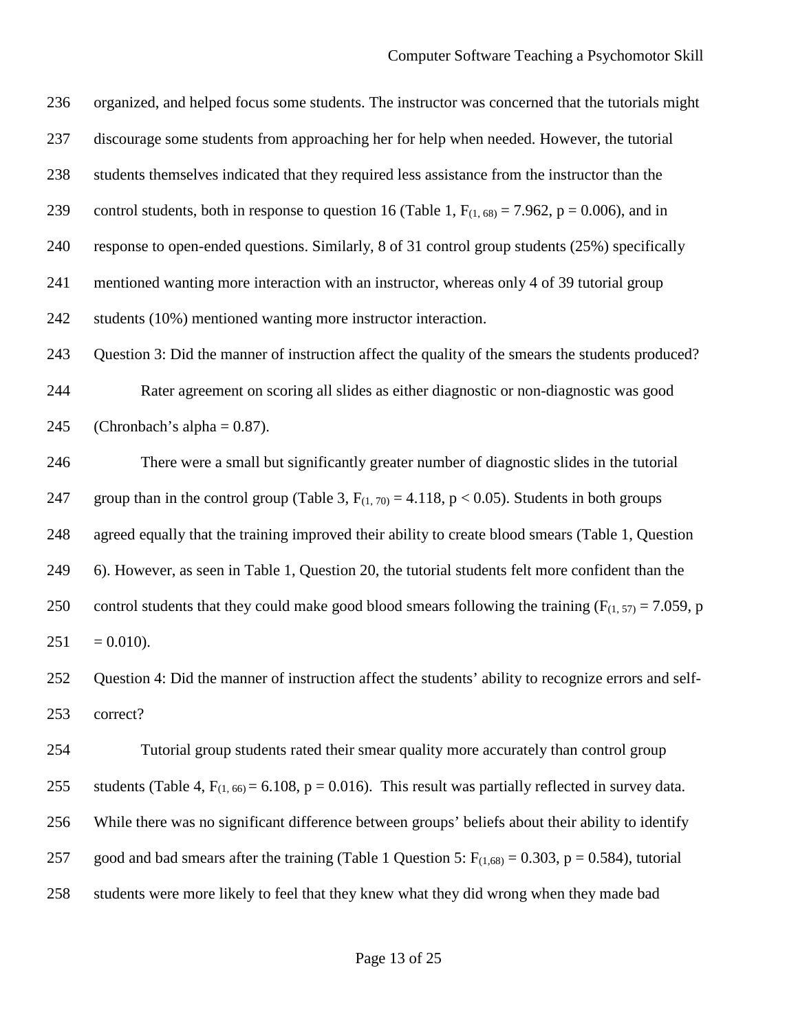organized, and helped focus some students. The instructor was concerned that the tutorials might discourage some students from approaching her for help when needed. However, the tutorial students themselves indicated that they required less assistance from the instructor than the 239 control students, both in response to question 16 [\(Table 1,](#page-20-0)  $F_{(1, 68)} = 7.962$ ,  $p = 0.006$ ), and in response to open-ended questions. Similarly, 8 of 31 control group students (25%) specifically mentioned wanting more interaction with an instructor, whereas only 4 of 39 tutorial group students (10%) mentioned wanting more instructor interaction. Question 3: Did the manner of instruction affect the quality of the smears the students produced? Rater agreement on scoring all slides as either diagnostic or non-diagnostic was good 245 (Chronbach's alpha  $= 0.87$ ). There were a small but significantly greater number of diagnostic slides in the tutorial 247 group than in the control group [\(Table 3,](#page-24-0)  $F_{(1, 70)} = 4.118$ , p < 0.05). Students in both groups agreed equally that the training improved their ability to create blood smears [\(Table 1,](#page-20-0) Question 6). However, as seen in [Table 1,](#page-20-0) Question 20, the tutorial students felt more confident than the

250 control students that they could make good blood smears following the training ( $F_{(1, 57)} = 7.059$ , p  $251 = 0.010$ .

 Question 4: Did the manner of instruction affect the students' ability to recognize errors and self-correct?

 Tutorial group students rated their smear quality more accurately than control group 255 students [\(Table 4,](#page-24-1)  $F_{(1, 66)} = 6.108$ , p = 0.016). This result was partially reflected in survey data. While there was no significant difference between groups' beliefs about their ability to identify 257 good and bad smears after the training [\(Table 1](#page-20-0) Question 5:  $F_{(1,68)} = 0.303$ , p = 0.584), tutorial students were more likely to feel that they knew what they did wrong when they made bad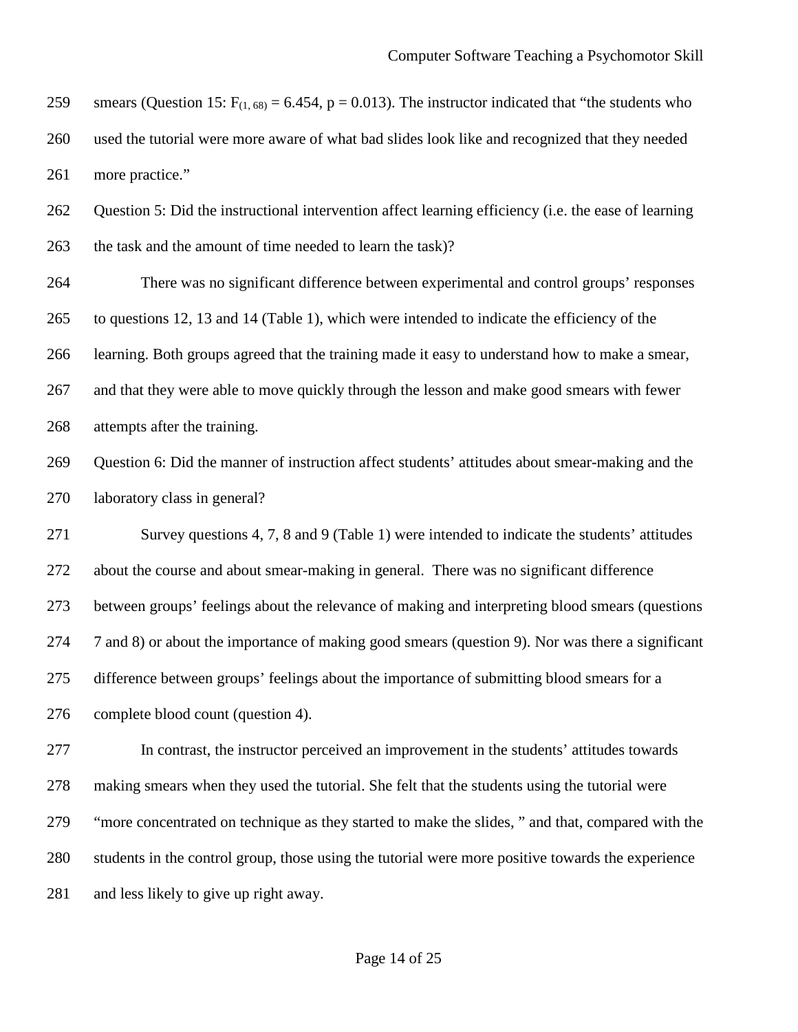259 smears (Question 15:  $F_{(1, 68)} = 6.454$ , p = 0.013). The instructor indicated that "the students who used the tutorial were more aware of what bad slides look like and recognized that they needed more practice."

 Question 5: Did the instructional intervention affect learning efficiency (i.e. the ease of learning 263 the task and the amount of time needed to learn the task)?

 There was no significant difference between experimental and control groups' responses to questions 12, 13 and 14 [\(Table 1\)](#page-20-0), which were intended to indicate the efficiency of the learning. Both groups agreed that the training made it easy to understand how to make a smear, and that they were able to move quickly through the lesson and make good smears with fewer attempts after the training.

 Question 6: Did the manner of instruction affect students' attitudes about smear-making and the laboratory class in general?

 Survey questions 4, 7, 8 and 9 [\(Table 1\)](#page-20-0) were intended to indicate the students' attitudes about the course and about smear-making in general. There was no significant difference between groups' feelings about the relevance of making and interpreting blood smears (questions 7 and 8) or about the importance of making good smears (question 9). Nor was there a significant difference between groups' feelings about the importance of submitting blood smears for a complete blood count (question 4).

 In contrast, the instructor perceived an improvement in the students' attitudes towards making smears when they used the tutorial. She felt that the students using the tutorial were "more concentrated on technique as they started to make the slides, " and that, compared with the students in the control group, those using the tutorial were more positive towards the experience and less likely to give up right away.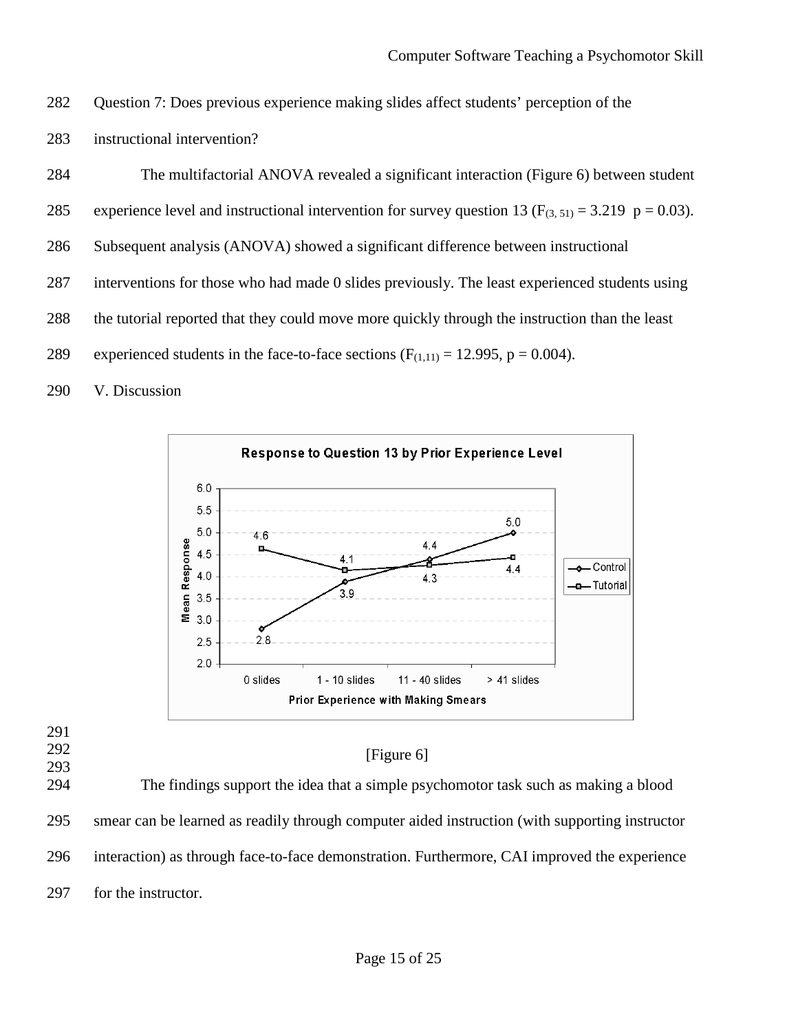- 282 Question 7: Does previous experience making slides affect students' perception of the
- 283 instructional intervention?

284 The multifactorial ANOVA revealed a significant interaction (Figure 6) between student

- 285 experience level and instructional intervention for survey question 13 ( $F_{(3, 51)} = 3.219$  p = 0.03).
- 286 Subsequent analysis (ANOVA) showed a significant difference between instructional
- 287 interventions for those who had made 0 slides previously. The least experienced students using
- 288 the tutorial reported that they could move more quickly through the instruction than the least
- 289 experienced students in the face-to-face sections  $(F_{(1,11)} = 12.995, p = 0.004)$ .
- 290 V. Discussion



- 291
- 292 293

## [Figure 6]

294 The findings support the idea that a simple psychomotor task such as making a blood 295 smear can be learned as readily through computer aided instruction (with supporting instructor 296 interaction) as through face-to-face demonstration. Furthermore, CAI improved the experience 297 for the instructor.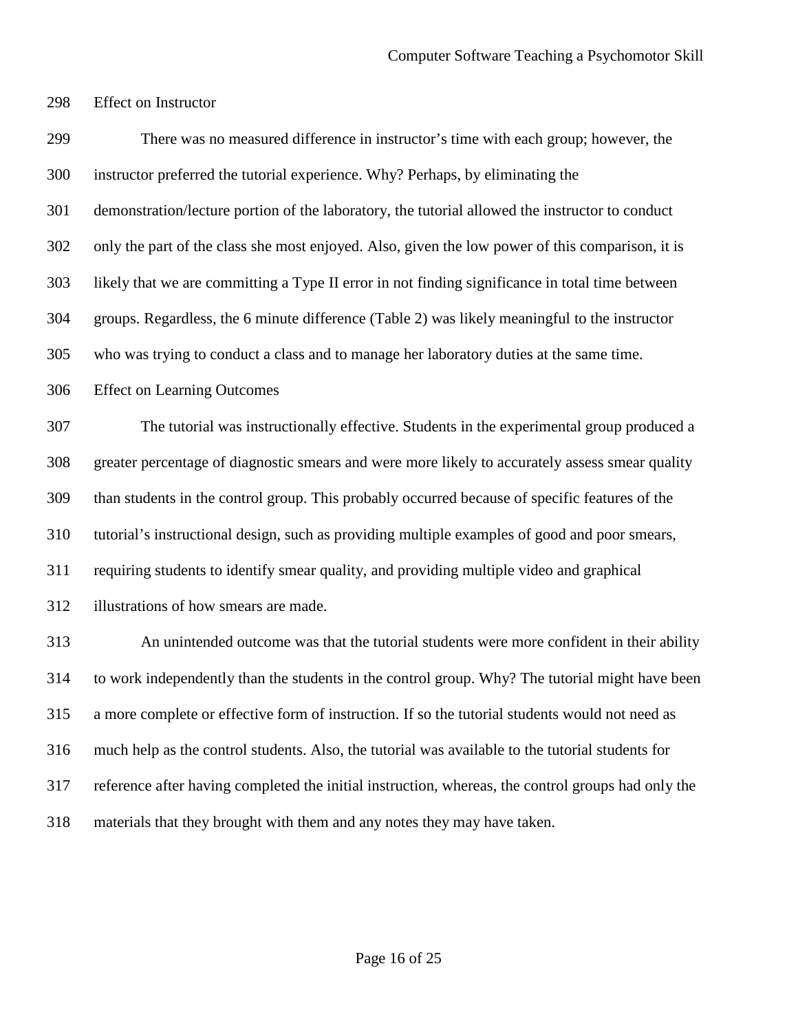Effect on Instructor

 There was no measured difference in instructor's time with each group; however, the instructor preferred the tutorial experience. Why? Perhaps, by eliminating the demonstration/lecture portion of the laboratory, the tutorial allowed the instructor to conduct only the part of the class she most enjoyed. Also, given the low power of this comparison, it is likely that we are committing a Type II error in not finding significance in total time between groups. Regardless, the 6 minute difference [\(Table 2\)](#page-24-2) was likely meaningful to the instructor who was trying to conduct a class and to manage her laboratory duties at the same time. Effect on Learning Outcomes The tutorial was instructionally effective. Students in the experimental group produced a greater percentage of diagnostic smears and were more likely to accurately assess smear quality than students in the control group. This probably occurred because of specific features of the tutorial's instructional design, such as providing multiple examples of good and poor smears, requiring students to identify smear quality, and providing multiple video and graphical illustrations of how smears are made. An unintended outcome was that the tutorial students were more confident in their ability to work independently than the students in the control group. Why? The tutorial might have been a more complete or effective form of instruction. If so the tutorial students would not need as much help as the control students. Also, the tutorial was available to the tutorial students for reference after having completed the initial instruction, whereas, the control groups had only the materials that they brought with them and any notes they may have taken.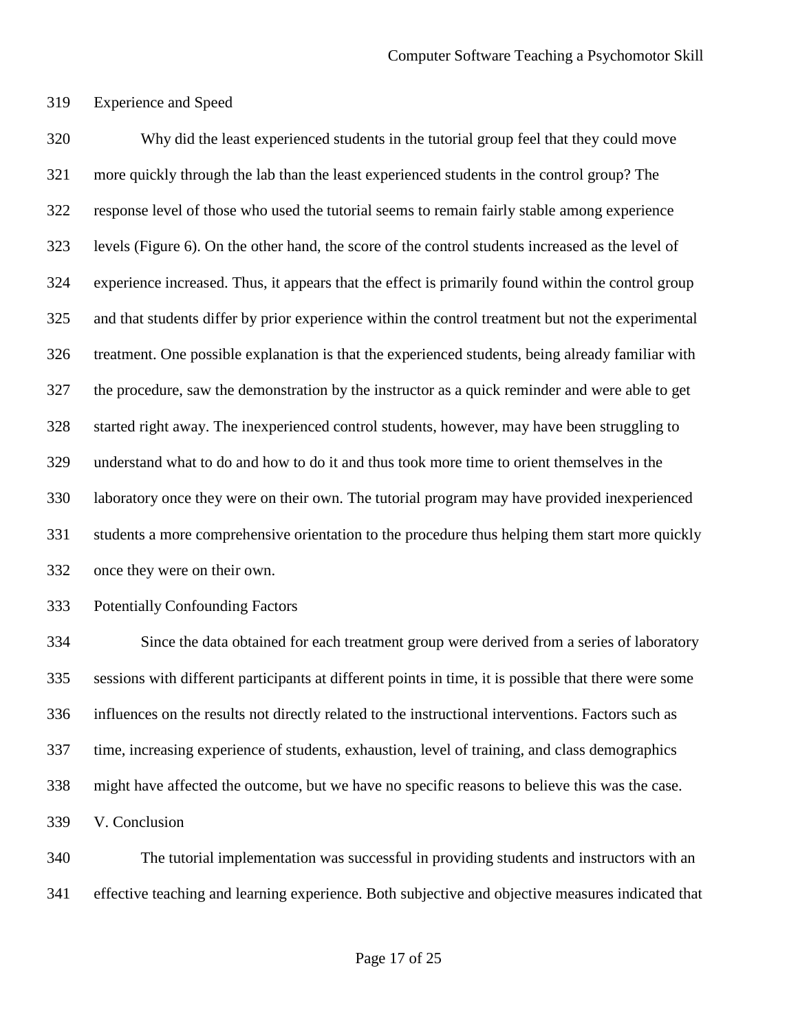Experience and Speed

 Why did the least experienced students in the tutorial group feel that they could move more quickly through the lab than the least experienced students in the control group? The response level of those who used the tutorial seems to remain fairly stable among experience levels (Figure 6). On the other hand, the score of the control students increased as the level of experience increased. Thus, it appears that the effect is primarily found within the control group and that students differ by prior experience within the control treatment but not the experimental treatment. One possible explanation is that the experienced students, being already familiar with the procedure, saw the demonstration by the instructor as a quick reminder and were able to get started right away. The inexperienced control students, however, may have been struggling to understand what to do and how to do it and thus took more time to orient themselves in the laboratory once they were on their own. The tutorial program may have provided inexperienced students a more comprehensive orientation to the procedure thus helping them start more quickly once they were on their own.

Potentially Confounding Factors

 Since the data obtained for each treatment group were derived from a series of laboratory sessions with different participants at different points in time, it is possible that there were some influences on the results not directly related to the instructional interventions. Factors such as time, increasing experience of students, exhaustion, level of training, and class demographics might have affected the outcome, but we have no specific reasons to believe this was the case. V. Conclusion

 The tutorial implementation was successful in providing students and instructors with an effective teaching and learning experience. Both subjective and objective measures indicated that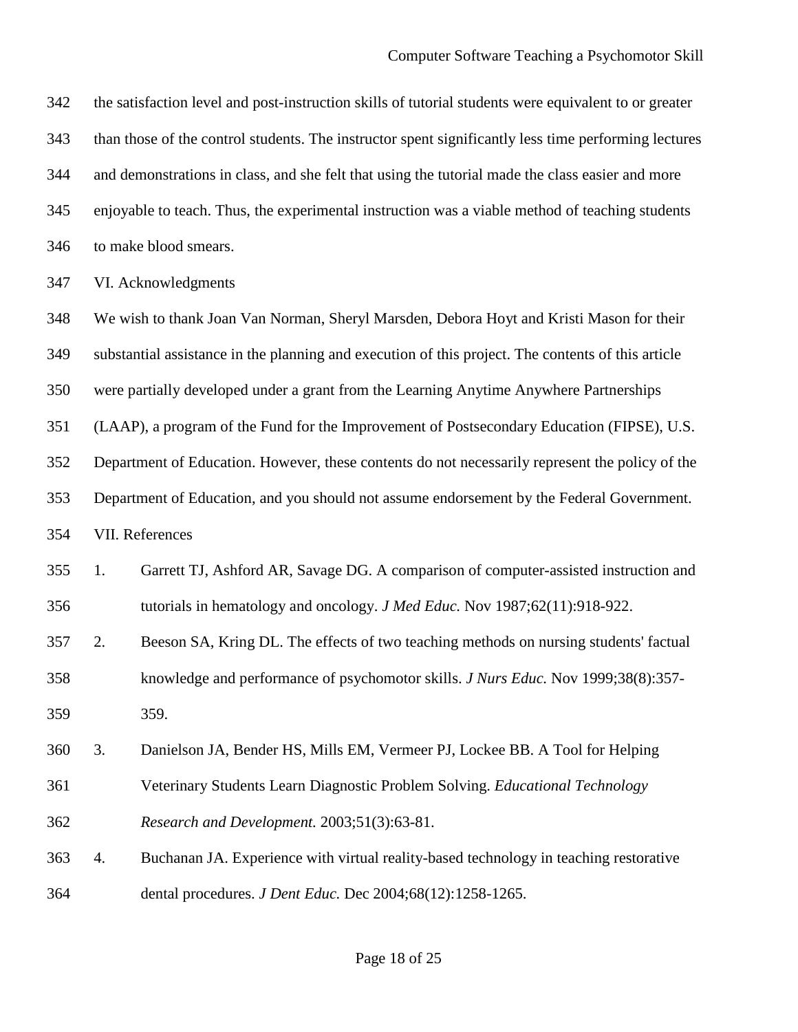the satisfaction level and post-instruction skills of tutorial students were equivalent to or greater than those of the control students. The instructor spent significantly less time performing lectures and demonstrations in class, and she felt that using the tutorial made the class easier and more enjoyable to teach. Thus, the experimental instruction was a viable method of teaching students to make blood smears. VI. Acknowledgments We wish to thank Joan Van Norman, Sheryl Marsden, Debora Hoyt and Kristi Mason for their substantial assistance in the planning and execution of this project. The contents of this article were partially developed under a grant from the Learning Anytime Anywhere Partnerships (LAAP), a program of the Fund for the Improvement of Postsecondary Education (FIPSE), U.S. Department of Education. However, these contents do not necessarily represent the policy of the Department of Education, and you should not assume endorsement by the Federal Government. VII. References 1. Garrett TJ, Ashford AR, Savage DG. A comparison of computer-assisted instruction and tutorials in hematology and oncology. *J Med Educ.* Nov 1987;62(11):918-922. 2. Beeson SA, Kring DL. The effects of two teaching methods on nursing students' factual knowledge and performance of psychomotor skills. *J Nurs Educ.* Nov 1999;38(8):357- 359. 3. Danielson JA, Bender HS, Mills EM, Vermeer PJ, Lockee BB. A Tool for Helping Veterinary Students Learn Diagnostic Problem Solving. *Educational Technology Research and Development.* 2003;51(3):63-81. 4. Buchanan JA. Experience with virtual reality-based technology in teaching restorative dental procedures. *J Dent Educ.* Dec 2004;68(12):1258-1265.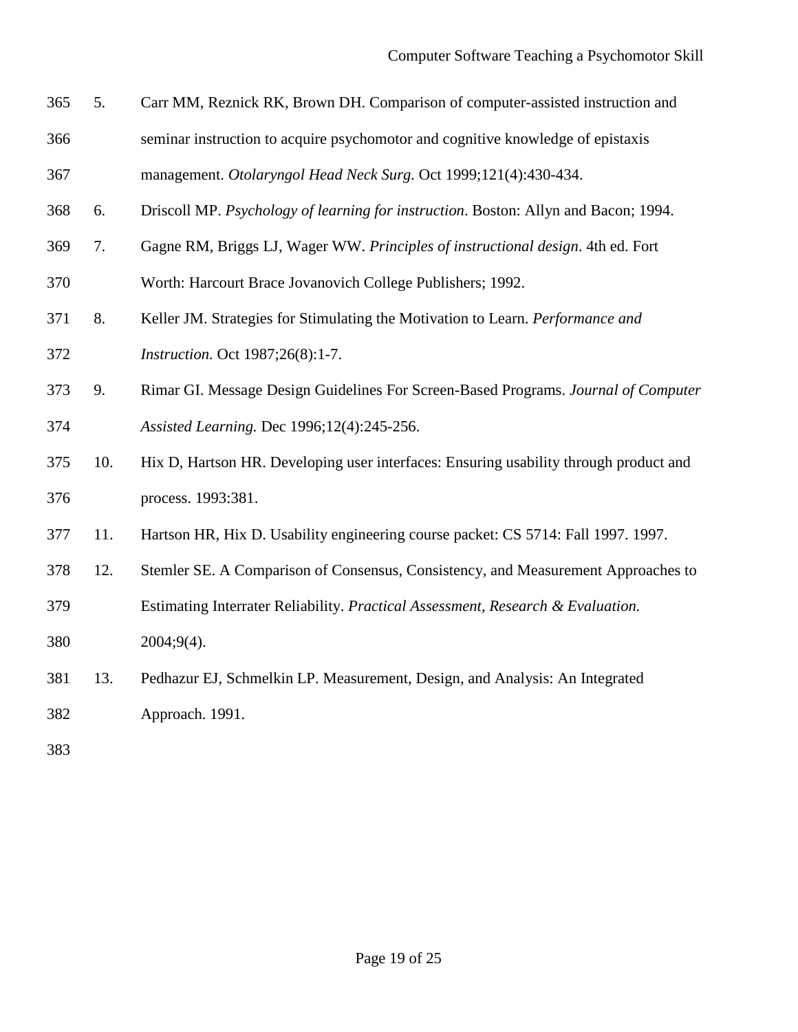- 5. Carr MM, Reznick RK, Brown DH. Comparison of computer-assisted instruction and seminar instruction to acquire psychomotor and cognitive knowledge of epistaxis
- management. *Otolaryngol Head Neck Surg.* Oct 1999;121(4):430-434.
- 6. Driscoll MP. *Psychology of learning for instruction*. Boston: Allyn and Bacon; 1994.
- 7. Gagne RM, Briggs LJ, Wager WW. *Principles of instructional design*. 4th ed. Fort
- Worth: Harcourt Brace Jovanovich College Publishers; 1992.
- 8. Keller JM. Strategies for Stimulating the Motivation to Learn. *Performance and Instruction.* Oct 1987;26(8):1-7.
- 9. Rimar GI. Message Design Guidelines For Screen-Based Programs. *Journal of Computer Assisted Learning.* Dec 1996;12(4):245-256.
- 10. Hix D, Hartson HR. Developing user interfaces: Ensuring usability through product and process. 1993:381.
- 11. Hartson HR, Hix D. Usability engineering course packet: CS 5714: Fall 1997. 1997.
- 12. Stemler SE. A Comparison of Consensus, Consistency, and Measurement Approaches to
- Estimating Interrater Reliability. *Practical Assessment, Research & Evaluation.*

2004;9(4).

13. Pedhazur EJ, Schmelkin LP. Measurement, Design, and Analysis: An Integrated

Approach. 1991.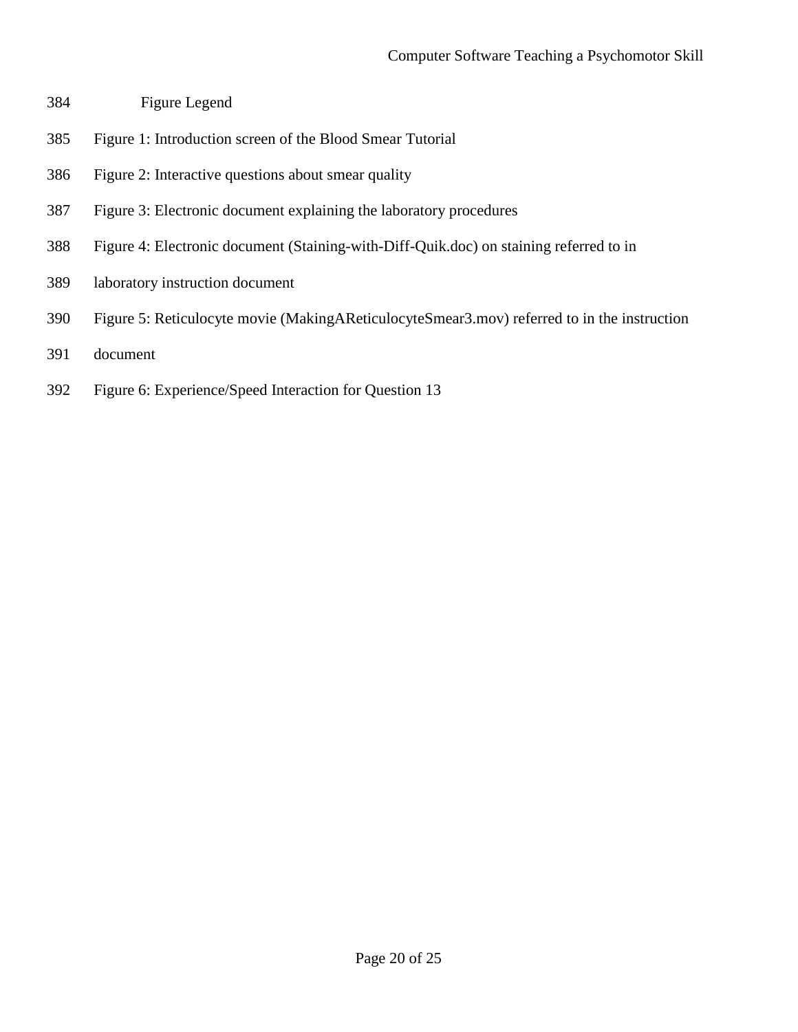- Figure Legend
- Figure 1: Introduction screen of the Blood Smear Tutorial
- Figure 2: Interactive questions about smear quality
- Figure 3: Electronic document explaining the laboratory procedures
- Figure 4: Electronic document (Staining-with-Diff-Quik.doc) on staining referred to in
- laboratory instruction document
- Figure 5: Reticulocyte movie (MakingAReticulocyteSmear3.mov) referred to in the instruction
- document
- Figure 6: Experience/Speed Interaction for Question 13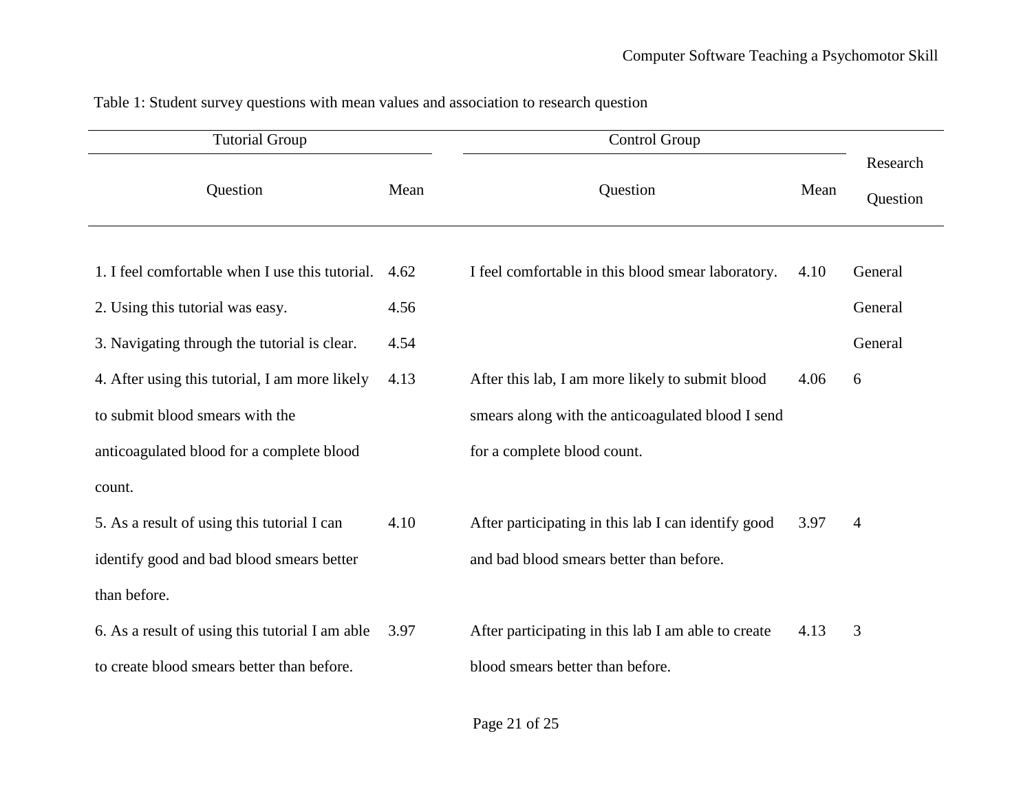<span id="page-20-0"></span>

| <b>Tutorial Group</b>                           |      | Control Group                                       |      |                      |
|-------------------------------------------------|------|-----------------------------------------------------|------|----------------------|
| Question                                        | Mean | Question                                            | Mean | Research<br>Question |
| 1. I feel comfortable when I use this tutorial. | 4.62 | I feel comfortable in this blood smear laboratory.  | 4.10 | General              |
| 2. Using this tutorial was easy.                | 4.56 |                                                     |      | General              |
| 3. Navigating through the tutorial is clear.    | 4.54 |                                                     |      | General              |
| 4. After using this tutorial, I am more likely  | 4.13 | After this lab, I am more likely to submit blood    | 4.06 | 6                    |
| to submit blood smears with the                 |      | smears along with the anticoagulated blood I send   |      |                      |
| anticoagulated blood for a complete blood       |      | for a complete blood count.                         |      |                      |
| count.                                          |      |                                                     |      |                      |
| 5. As a result of using this tutorial I can     | 4.10 | After participating in this lab I can identify good | 3.97 | $\overline{4}$       |
| identify good and bad blood smears better       |      | and bad blood smears better than before.            |      |                      |
| than before.                                    |      |                                                     |      |                      |
| 6. As a result of using this tutorial I am able | 3.97 | After participating in this lab I am able to create | 4.13 | 3                    |
| to create blood smears better than before.      |      | blood smears better than before.                    |      |                      |

Table 1: Student survey questions with mean values and association to research question

Page 21 of 25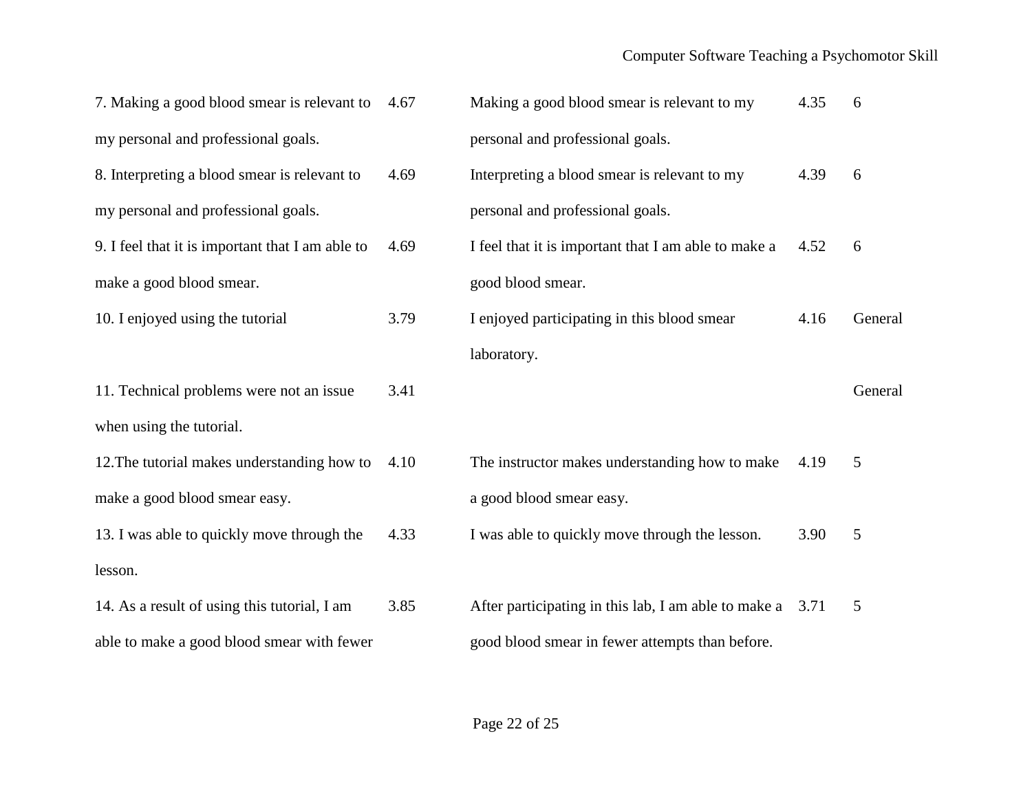## Computer Software Teaching a Psychomotor Skill

| 7. Making a good blood smear is relevant to      | 4.67 | Making a good blood smear is relevant to my                 | 4.35 | 6       |
|--------------------------------------------------|------|-------------------------------------------------------------|------|---------|
| my personal and professional goals.              |      | personal and professional goals.                            |      |         |
| 8. Interpreting a blood smear is relevant to     | 4.69 | Interpreting a blood smear is relevant to my                | 4.39 | 6       |
| my personal and professional goals.              |      | personal and professional goals.                            |      |         |
| 9. I feel that it is important that I am able to | 4.69 | I feel that it is important that I am able to make a        | 4.52 | 6       |
| make a good blood smear.                         |      | good blood smear.                                           |      |         |
| 10. I enjoyed using the tutorial                 | 3.79 | I enjoyed participating in this blood smear                 | 4.16 | General |
|                                                  |      | laboratory.                                                 |      |         |
|                                                  |      |                                                             |      |         |
| 11. Technical problems were not an issue         | 3.41 |                                                             |      | General |
| when using the tutorial.                         |      |                                                             |      |         |
| 12. The tutorial makes understanding how to      | 4.10 | The instructor makes understanding how to make              | 4.19 | 5       |
| make a good blood smear easy.                    |      | a good blood smear easy.                                    |      |         |
| 13. I was able to quickly move through the       | 4.33 | I was able to quickly move through the lesson.              | 3.90 | 5       |
| lesson.                                          |      |                                                             |      |         |
| 14. As a result of using this tutorial, I am     | 3.85 | After participating in this lab, I am able to make a $3.71$ |      | 5       |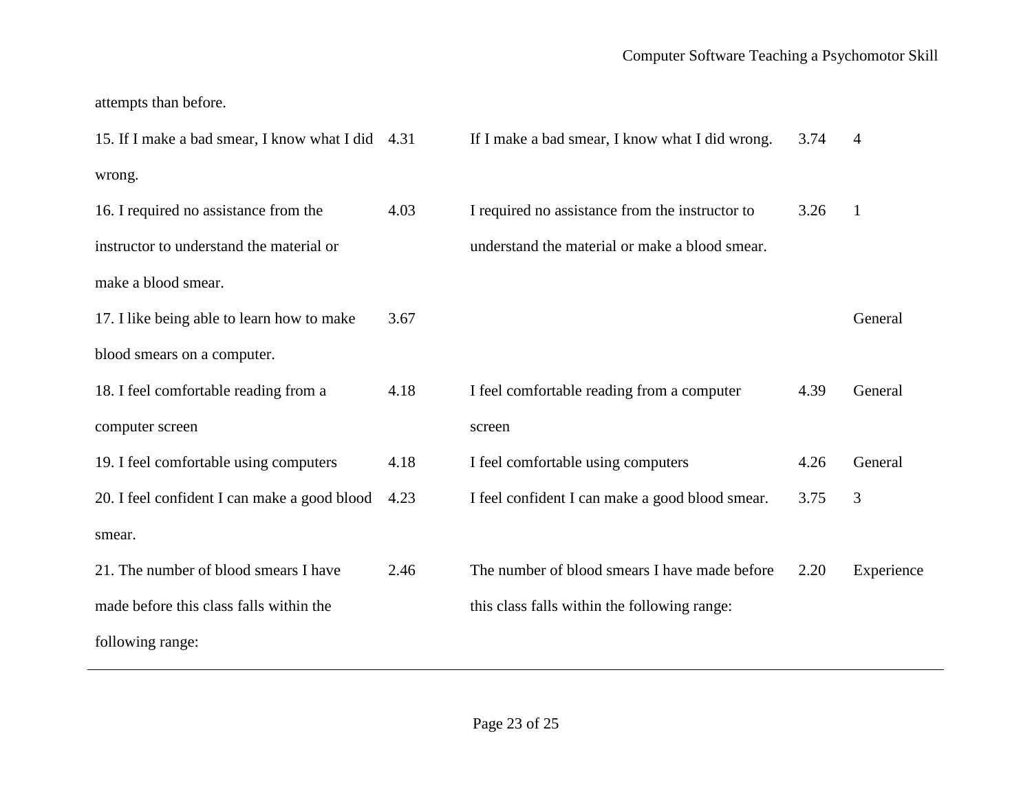attempts than before.

| 15. If I make a bad smear, I know what I did 4.31 |      | If I make a bad smear, I know what I did wrong. | 3.74 | 4            |
|---------------------------------------------------|------|-------------------------------------------------|------|--------------|
| wrong.                                            |      |                                                 |      |              |
| 16. I required no assistance from the             | 4.03 | I required no assistance from the instructor to | 3.26 | $\mathbf{1}$ |
| instructor to understand the material or          |      | understand the material or make a blood smear.  |      |              |
| make a blood smear.                               |      |                                                 |      |              |
| 17. I like being able to learn how to make        | 3.67 |                                                 |      | General      |
| blood smears on a computer.                       |      |                                                 |      |              |
| 18. I feel comfortable reading from a             | 4.18 | I feel comfortable reading from a computer      | 4.39 | General      |
| computer screen                                   |      | screen                                          |      |              |
| 19. I feel comfortable using computers            | 4.18 | I feel comfortable using computers              | 4.26 | General      |
| 20. I feel confident I can make a good blood      | 4.23 | I feel confident I can make a good blood smear. | 3.75 | 3            |
| smear.                                            |      |                                                 |      |              |
| 21. The number of blood smears I have             | 2.46 | The number of blood smears I have made before   | 2.20 | Experience   |
| made before this class falls within the           |      | this class falls within the following range:    |      |              |
| following range:                                  |      |                                                 |      |              |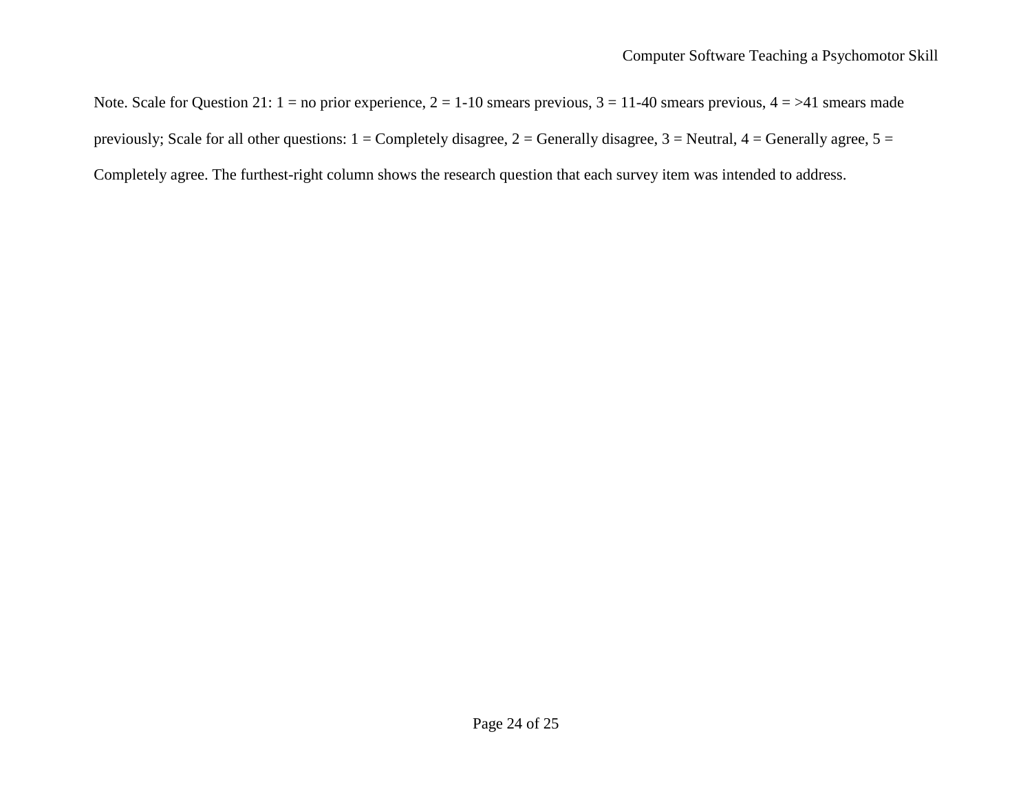Note. Scale for Question 21:  $1 =$  no prior experience,  $2 = 1-10$  smears previous,  $3 = 11-40$  smears previous,  $4 = > 41$  smears made previously; Scale for all other questions:  $1 =$  Completely disagree,  $2 =$  Generally disagree,  $3 =$  Neutral,  $4 =$  Generally agree,  $5 =$ Completely agree. The furthest-right column shows the research question that each survey item was intended to address.